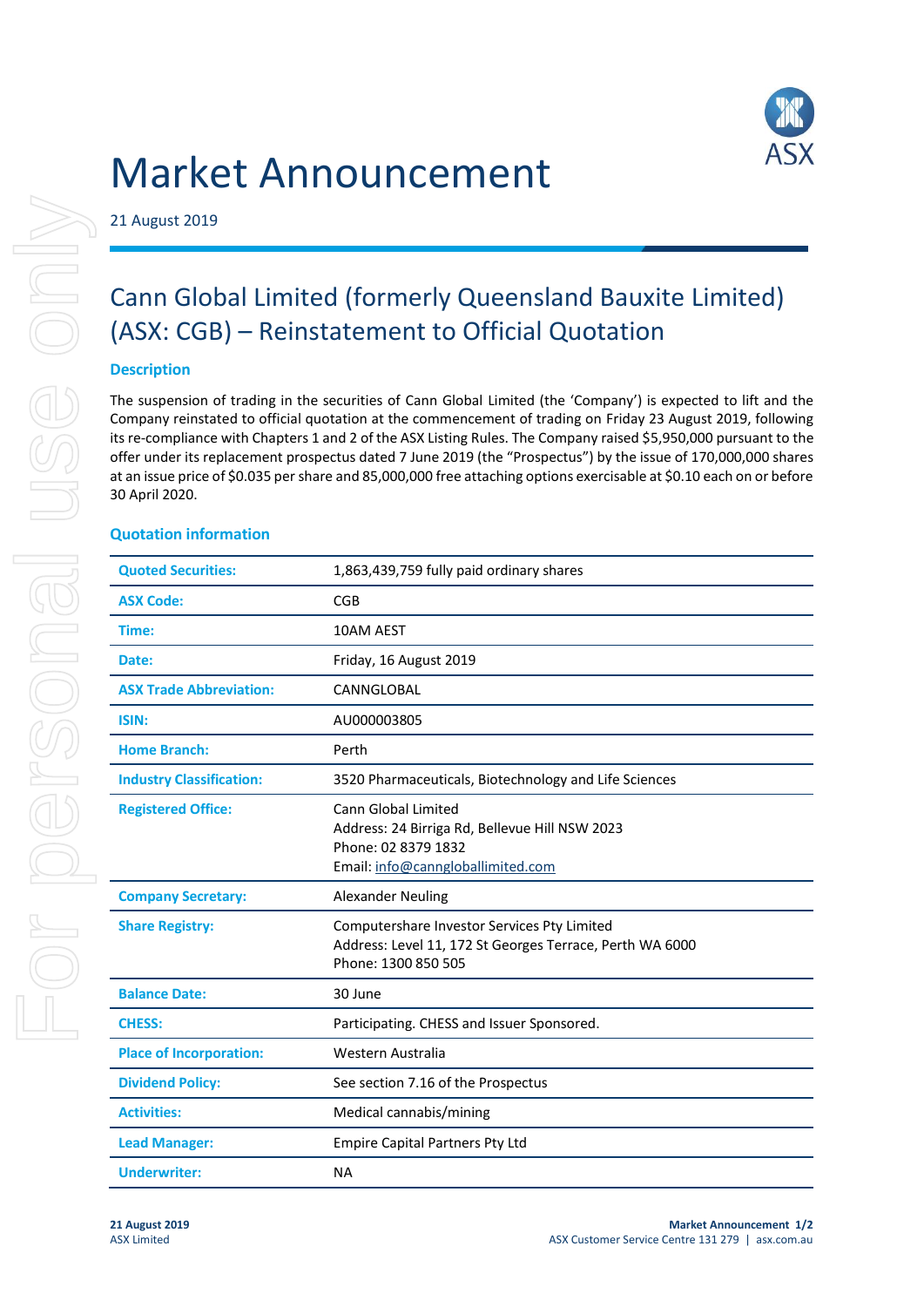

# Market Announcement

21 August 2019

## Cann Global Limited (formerly Queensland Bauxite Limited) (ASX: CGB) – Reinstatement to Official Quotation

#### **Description**

The suspension of trading in the securities of Cann Global Limited (the 'Company') is expected to lift and the Company reinstated to official quotation at the commencement of trading on Friday 23 August 2019, following its re-compliance with Chapters 1 and 2 of the ASX Listing Rules. The Company raised \$5,950,000 pursuant to the offer under its replacement prospectus dated 7 June 2019 (the "Prospectus") by the issue of 170,000,000 shares at an issue price of \$0.035 per share and 85,000,000 free attaching options exercisable at \$0.10 each on or before 30 April 2020.

#### **Quotation information**

| <b>Quoted Securities:</b>       | 1,863,439,759 fully paid ordinary shares                                                                                          |
|---------------------------------|-----------------------------------------------------------------------------------------------------------------------------------|
| <b>ASX Code:</b>                | CGB                                                                                                                               |
| Time:                           | 10AM AEST                                                                                                                         |
| Date:                           | Friday, 16 August 2019                                                                                                            |
| <b>ASX Trade Abbreviation:</b>  | CANNGLOBAL                                                                                                                        |
| ISIN:                           | AU000003805                                                                                                                       |
| <b>Home Branch:</b>             | Perth                                                                                                                             |
| <b>Industry Classification:</b> | 3520 Pharmaceuticals, Biotechnology and Life Sciences                                                                             |
| <b>Registered Office:</b>       | Cann Global Limited<br>Address: 24 Birriga Rd, Bellevue Hill NSW 2023<br>Phone: 02 8379 1832<br>Email: info@canngloballimited.com |
| <b>Company Secretary:</b>       | <b>Alexander Neuling</b>                                                                                                          |
| <b>Share Registry:</b>          | Computershare Investor Services Pty Limited<br>Address: Level 11, 172 St Georges Terrace, Perth WA 6000<br>Phone: 1300 850 505    |
| <b>Balance Date:</b>            | 30 June                                                                                                                           |
| <b>CHESS:</b>                   | Participating. CHESS and Issuer Sponsored.                                                                                        |
| <b>Place of Incorporation:</b>  | Western Australia                                                                                                                 |
| <b>Dividend Policy:</b>         | See section 7.16 of the Prospectus                                                                                                |
| <b>Activities:</b>              | Medical cannabis/mining                                                                                                           |
| <b>Lead Manager:</b>            | <b>Empire Capital Partners Pty Ltd</b>                                                                                            |
| <b>Underwriter:</b>             | <b>NA</b>                                                                                                                         |